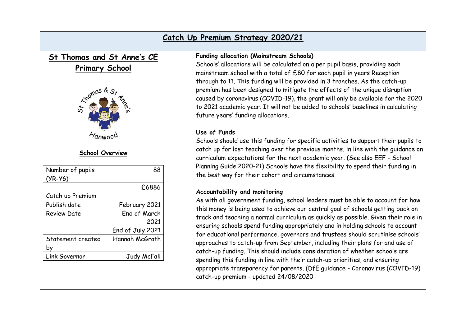## **Catch Up Premium Strategy 2020/21**

# **St Thomas and St Anne's CE**

## **Primary School**



### **School Overview**

| Number of pupils  | 88               |
|-------------------|------------------|
| $(YR-Y6)$         |                  |
|                   | £6886            |
| Catch up Premium  |                  |
| Publish date      | February 2021    |
| Review Date       | End of March     |
|                   | 2021             |
|                   | End of July 2021 |
| Statement created | Hannah McGrath   |
|                   |                  |
| Link Governor     | Judy McFall      |
|                   |                  |

#### **Funding allocation (Mainstream Schools)**

Schools' allocations will be calculated on a per pupil basis, providing each mainstream school with a total of £80 for each pupil in years Reception through to 11. This funding will be provided in 3 tranches. As the catch-up premium has been designed to mitigate the effects of the unique disruption caused by coronavirus (COVID-19), the grant will only be available for the 2020 to 2021 academic year. It will not be added to schools' baselines in calculating future years' funding allocations.

### **Use of Funds**

Schools should use this funding for specific activities to support their pupils to catch up for lost teaching over the previous months, in line with the guidance on curriculum expectations for the next academic year. (See also EEF - School Planning Guide 2020-21) Schools have the flexibility to spend their funding in the best way for their cohort and circumstances.

#### **Accountability and monitoring**

As with all government funding, school leaders must be able to account for how this money is being used to achieve our central goal of schools getting back on track and teaching a normal curriculum as quickly as possible. Given their role in ensuring schools spend funding appropriately and in holding schools to account for educational performance, governors and trustees should scrutinise schools' approaches to catch-up from September, including their plans for and use of catch-up funding. This should include consideration of whether schools are spending this funding in line with their catch-up priorities, and ensuring appropriate transparency for parents. (DfE guidance - Coronavirus (COVID-19) catch-up premium - updated 24/08/2020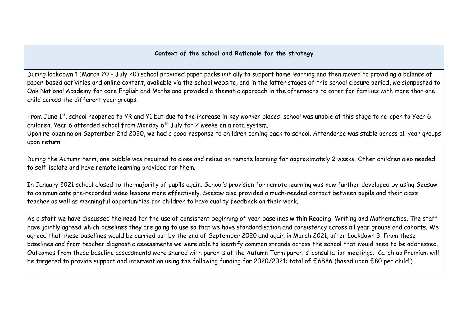#### **Context of the school and Rationale for the strategy**

During lockdown 1 (March 20 – July 20) school provided paper packs initially to support home learning and then moved to providing a balance of paper-based activities and online content, available via the school website, and in the latter stages of this school closure period, we signposted to Oak National Academy for core English and Maths and provided a thematic approach in the afternoons to cater for families with more than one child across the different year groups.

From June 1<sup>st</sup>, school reopened to YR and Y1 but due to the increase in key worker places, school was unable at this stage to re-open to Year 6 children. Year 6 attended school from Monday 6<sup>th</sup> July for 2 weeks on a rota system.

Upon re-opening on September 2nd 2020, we had a good response to children coming back to school. Attendance was stable across all year groups upon return.

During the Autumn term, one bubble was required to close and relied on remote learning for approximately 2 weeks. Other children also needed to self-isolate and have remote learning provided for them.

In January 2021 school closed to the majority of pupils again. School's provision for remote learning was now further developed by using Seesaw to communicate pre-recorded video lessons more effectively. Seesaw also provided a much-needed contact between pupils and their class teacher as well as meaningful opportunities for children to have quality feedback on their work.

As a staff we have discussed the need for the use of consistent beginning of year baselines within Reading, Writing and Mathematics. The staff have jointly agreed which baselines they are going to use so that we have standardisation and consistency across all year groups and cohorts. We agreed that these baselines would be carried out by the end of September 2020 and again in March 2021, after Lockdown 3. From these baselines and from teacher diagnostic assessments we were able to identify common strands across the school that would need to be addressed. Outcomes from these baseline assessments were shared with parents at the Autumn Term parents' consultation meetings. Catch up Premium will be targeted to provide support and intervention using the following funding for 2020/2021: total of £6886 (based upon £80 per child.)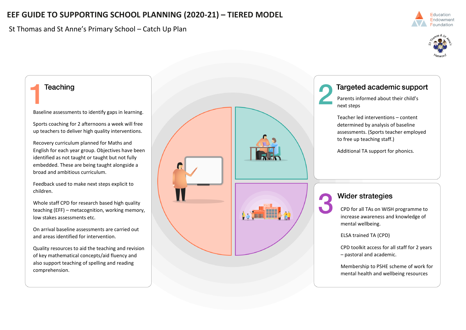# **EEF GUIDE TO SUPPORTING SCHOOL PLANNING (2020-21) – TIERED MODEL**

St Thomas and St Anne's Primary School – Catch Up Plan





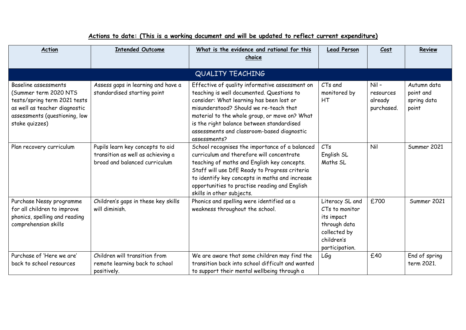| <b>Action</b>                                                                                                                                                     | <b>Intended Outcome</b>                                                                                | What is the evidence and rational for this<br>choice                                                                                                                                                                                                                                                                                          | <b>Lead Person</b>                                                                                              | Cost                                          | Review                                           |  |  |  |
|-------------------------------------------------------------------------------------------------------------------------------------------------------------------|--------------------------------------------------------------------------------------------------------|-----------------------------------------------------------------------------------------------------------------------------------------------------------------------------------------------------------------------------------------------------------------------------------------------------------------------------------------------|-----------------------------------------------------------------------------------------------------------------|-----------------------------------------------|--------------------------------------------------|--|--|--|
| QUALITY TEACHING                                                                                                                                                  |                                                                                                        |                                                                                                                                                                                                                                                                                                                                               |                                                                                                                 |                                               |                                                  |  |  |  |
| Baseline assessments<br>(Summer term 2020 NTS<br>tests/spring term 2021 tests<br>as well as teacher diagnostic<br>assessments (questioning, low<br>stake quizzes) | Assess gaps in learning and have a<br>standardised starting point                                      | Effective of quality informative assessment on<br>teaching is well documented. Questions to<br>consider: What learning has been lost or<br>misunderstood? Should we re-teach that<br>material to the whole group, or move on? What<br>is the right balance between standardised<br>assessments and classroom-based diagnostic<br>assessments? | CTs and<br>monitored by<br>HТ                                                                                   | $Nil -$<br>resources<br>already<br>purchased. | Autumn data<br>point and<br>spring data<br>point |  |  |  |
| Plan recovery curriculum                                                                                                                                          | Pupils learn key concepts to aid<br>transition as well as achieving a<br>broad and balanced curriculum | School recognises the importance of a balanced<br>curriculum and therefore will concentrate<br>teaching of maths and English key concepts.<br>Staff will use DfE Ready to Progress criteria<br>to identify key concepts in maths and increase<br>opportunities to practise reading and English<br>skills in other subjects.                   | CTs<br>English SL<br>Maths SL                                                                                   | Nil                                           | Summer 2021                                      |  |  |  |
| Purchase Nessy programme<br>for all children to improve<br>phonics, spelling and reading<br>comprehension skills                                                  | Children's gaps in these key skills<br>will diminish.                                                  | Phonics and spelling were identified as a<br>weakness throughout the school.                                                                                                                                                                                                                                                                  | Literacy SL and<br>CTs to monitor<br>its impact<br>through data<br>collected by<br>children's<br>participation. | £700                                          | Summer 2021                                      |  |  |  |
| Purchase of 'Here we are'<br>back to school resources                                                                                                             | Children will transition from<br>remote learning back to school<br>positively.                         | We are aware that some children may find the<br>transition back into school difficult and wanted<br>to support their mental wellbeing through a                                                                                                                                                                                               | LGq                                                                                                             | £40                                           | End of spring<br>term 2021.                      |  |  |  |

# **Actions to date: (This is a working document and will be updated to reflect current expenditure)**